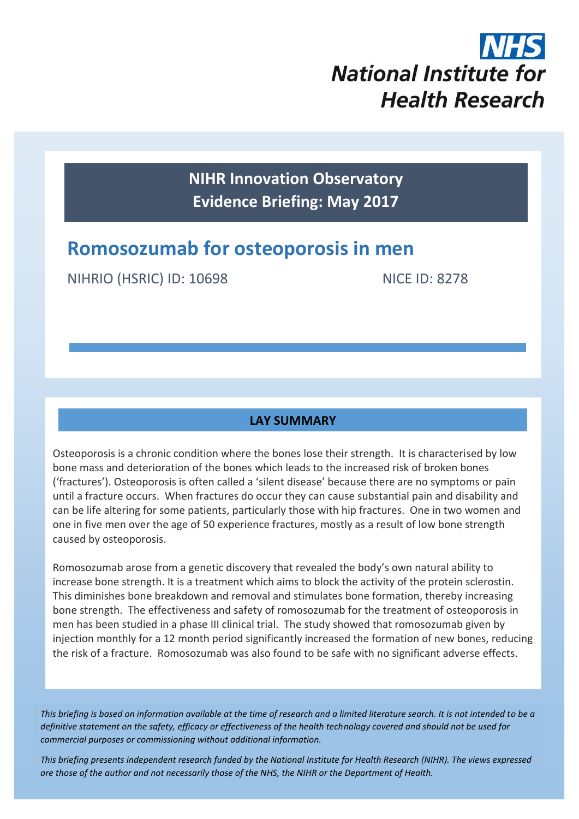

**NIHR Innovation Observatory Evidence Briefing: May 2017**

# **Romosozumab for osteoporosis in men**

NIHRIO (HSRIC) ID: 10698 NICE ID: 8278

## **LAY SUMMARY**

Osteoporosis is a chronic condition where the bones lose their strength. It is characterised by low bone mass and deterioration of the bones which leads to the increased risk of broken bones ('fractures'). Osteoporosis is often called a 'silent disease' because there are no symptoms or pain until a fracture occurs. When fractures do occur they can cause substantial pain and disability and can be life altering for some patients, particularly those with hip fractures. One in two women and one in five men over the age of 50 experience fractures, mostly as a result of low bone strength caused by osteoporosis.

Romosozumab arose from a genetic discovery that revealed the body's own natural ability to increase bone strength. It is a treatment which aims to block the activity of the protein sclerostin. This diminishes bone breakdown and removal and stimulates bone formation, thereby increasing bone strength. The effectiveness and safety of romosozumab for the treatment of osteoporosis in men has been studied in a phase III clinical trial. The study showed that romosozumab given by injection monthly for a 12 month period significantly increased the formation of new bones, reducing the risk of a fracture. Romosozumab was also found to be safe with no significant adverse effects.

*This briefing is based on information available at the time of research and a limited literature search. It is not intended to be a definitive statement on the safety, efficacy or effectiveness of the health technology covered and should not be used for commercial purposes or commissioning without additional information.*

*This briefing presents independent research funded by the National Institute for Health Research (NIHR). The views expressed are those of the author and not necessarily those of the NHS, the NIHR or the Department of Health.*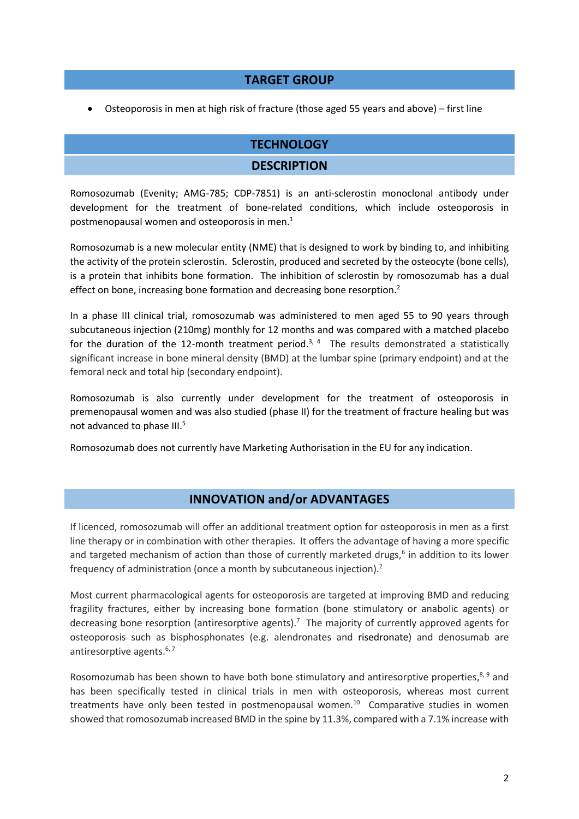#### **TARGET GROUP**

Osteoporosis in men at high risk of fracture (those aged 55 years and above) – first line

## **TECHNOLOGY**

#### **DESCRIPTION**

Romosozumab (Evenity; AMG-785; CDP-7851) is an anti-sclerostin monoclonal antibody under development for the treatment of bone-related conditions, which include osteoporosis in postmenopausal women and osteoporosis in men. $<sup>1</sup>$ </sup>

Romosozumab is a new molecular entity (NME) that is designed to work by binding to, and inhibiting the activity of the protein sclerostin. Sclerostin, produced and secreted by the osteocyte (bone cells), is a protein that inhibits bone formation. The inhibition of sclerostin by romosozumab has a dual effect on bone, increasing bone formation and decreasing bone resorption.<sup>2</sup>

In a phase III clinical trial, romosozumab was administered to men aged 55 to 90 years through subcutaneous injection (210mg) monthly for 12 months and was compared with a matched placebo for the duration of the 12-month treatment period.<sup>3, 4</sup> The results demonstrated a statistically significant increase in bone mineral density (BMD) at the lumbar spine (primary endpoint) and at the femoral neck and total hip (secondary endpoint).

Romosozumab is also currently under development for the treatment of osteoporosis in premenopausal women and was also studied (phase II) for the treatment of fracture healing but was not advanced to phase III.<sup>5</sup>

Romosozumab does not currently have Marketing Authorisation in the EU for any indication.

## **INNOVATION and/or ADVANTAGES**

If licenced, romosozumab will offer an additional treatment option for osteoporosis in men as a first line therapy or in combination with other therapies. It offers the advantage of having a more specific and targeted mechanism of action than those of currently marketed drugs,<sup>6</sup> in addition to its lower frequency of administration (once a month by subcutaneous injection).<sup>2</sup>

Most current pharmacological agents for osteoporosis are targeted at improving BMD and reducing fragility fractures, either by increasing bone formation (bone stimulatory or anabolic agents) or decreasing bone resorption (antiresorptive agents).<sup>7</sup> The majority of currently approved agents for osteoporosis such as bisphosphonates (e.g. alendronates and risedronate) and denosumab are antiresorptive agents. $6, 7$ 

Rosomozumab has been shown to have both bone stimulatory and antiresorptive properties,<sup>8,9</sup> and has been specifically tested in clinical trials in men with osteoporosis, whereas most current treatments have only been tested in postmenopausal women.<sup>10</sup> Comparative studies in women showed that romosozumab increased BMD in the spine by 11.3%, compared with a 7.1% increase with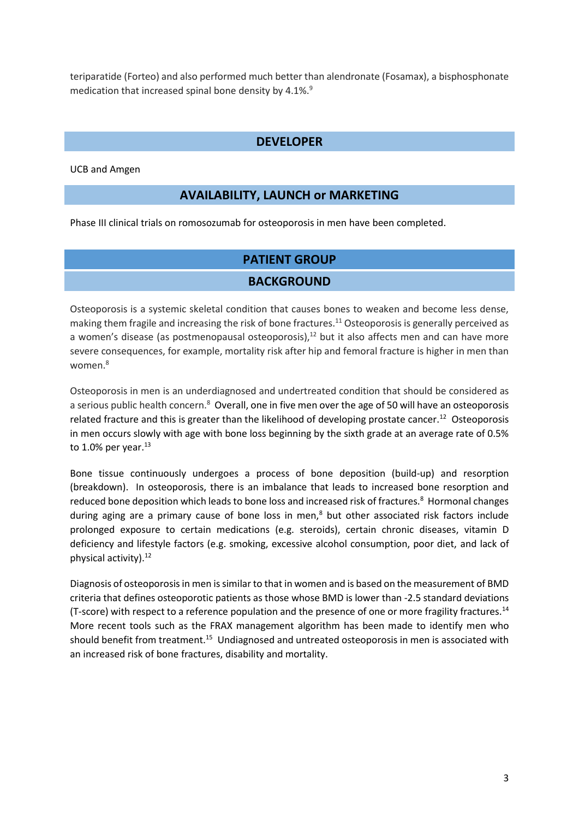teriparatide (Forteo) and also performed much better than alendronate (Fosamax), a bisphosphonate medication that increased spinal bone density by 4.1%.<sup>9</sup>

## **DEVELOPER**

UCB and Amgen

## **AVAILABILITY, LAUNCH or MARKETING**

Phase III clinical trials on romosozumab for osteoporosis in men have been completed.

## **PATIENT GROUP**

## **BACKGROUND**

Osteoporosis is a systemic skeletal condition that causes bones to weaken and become less dense, making them fragile and increasing the risk of bone fractures.<sup>11</sup> Osteoporosis is generally perceived as a women's disease (as postmenopausal osteoporosis), $12$  but it also affects men and can have more severe consequences, for example, mortality risk after hip and femoral fracture is higher in men than women.<sup>8</sup>

Osteoporosis in men is an underdiagnosed and undertreated condition that should be considered as a serious public health concern.<sup>8</sup> Overall, one in five men over the age of 50 will have an osteoporosis related fracture and this is greater than the likelihood of developing prostate cancer.<sup>12</sup> Osteoporosis in men occurs slowly with age with bone loss beginning by the sixth grade at an average rate of 0.5% to 1.0% per year. $^{13}$ 

Bone tissue continuously undergoes a process of bone deposition (build-up) and resorption (breakdown). In osteoporosis, there is an imbalance that leads to increased bone resorption and reduced bone deposition which leads to bone loss and increased risk of fractures.<sup>8</sup> Hormonal changes during aging are a primary cause of bone loss in men,<sup>8</sup> but other associated risk factors include prolonged exposure to certain medications (e.g. steroids), certain chronic diseases, vitamin D deficiency and lifestyle factors (e.g. smoking, excessive alcohol consumption, poor diet, and lack of physical activity).<sup>12</sup>

Diagnosis of osteoporosis in men is similar to that in women and is based on the measurement of BMD criteria that defines osteoporotic patients as those whose BMD is lower than -2.5 standard deviations (T-score) with respect to a reference population and the presence of one or more fragility fractures.<sup>14</sup> More recent tools such as the FRAX management algorithm has been made to identify men who should benefit from treatment.<sup>15</sup> Undiagnosed and untreated osteoporosis in men is associated with an increased risk of bone fractures, disability and mortality.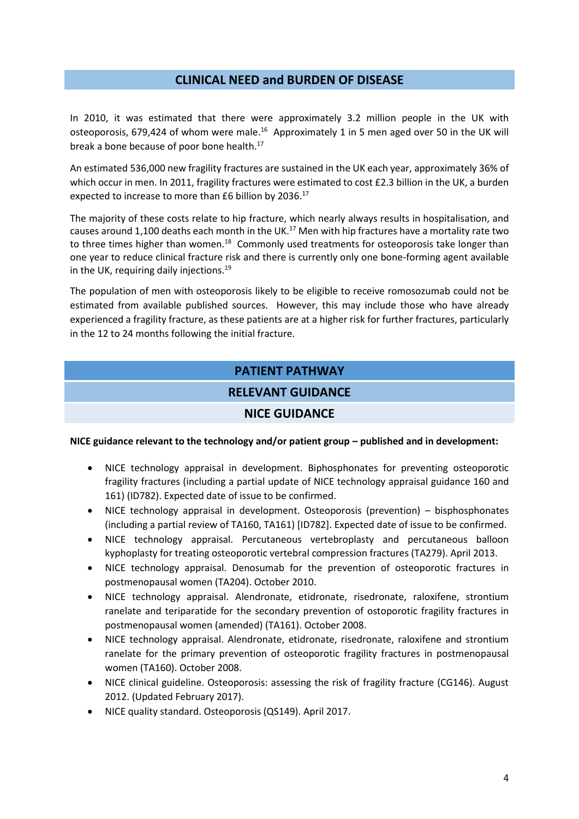#### **CLINICAL NEED and BURDEN OF DISEASE**

In 2010, it was estimated that there were approximately 3.2 million people in the UK with osteoporosis, 679,424 of whom were male.<sup>16</sup> Approximately 1 in 5 men aged over 50 in the UK will break a bone because of poor bone health. 17

An estimated 536,000 new fragility fractures are sustained in the UK each year, approximately 36% of which occur in men. In 2011, fragility fractures were estimated to cost £2.3 billion in the UK, a burden expected to increase to more than £6 billion by 2036.<sup>17</sup>

The majority of these costs relate to hip fracture, which nearly always results in hospitalisation, and causes around 1,100 deaths each month in the UK.<sup>17</sup> Men with hip fractures have a mortality rate two to three times higher than women.<sup>18</sup> Commonly used treatments for osteoporosis take longer than one year to reduce clinical fracture risk and there is currently only one bone-forming agent available in the UK, requiring daily injections.<sup>19</sup>

The population of men with osteoporosis likely to be eligible to receive romosozumab could not be estimated from available published sources. However, this may include those who have already experienced a fragility fracture, as these patients are at a higher risk for further fractures, particularly in the 12 to 24 months following the initial fracture.

#### **PATIENT PATHWAY**

#### **RELEVANT GUIDANCE**

#### **NICE GUIDANCE**

#### **NICE guidance relevant to the technology and/or patient group – published and in development:**

- NICE technology appraisal in development. Biphosphonates for preventing osteoporotic fragility fractures (including a partial update of NICE technology appraisal guidance 160 and 161) (ID782). Expected date of issue to be confirmed.
- NICE technology appraisal in development. Osteoporosis (prevention) bisphosphonates (including a partial review of TA160, TA161) [ID782]. Expected date of issue to be confirmed.
- NICE technology appraisal. Percutaneous vertebroplasty and percutaneous balloon kyphoplasty for treating osteoporotic vertebral compression fractures (TA279). April 2013.
- NICE technology appraisal. Denosumab for the prevention of osteoporotic fractures in postmenopausal women (TA204). October 2010.
- NICE technology appraisal. Alendronate, etidronate, risedronate, raloxifene, strontium ranelate and teriparatide for the secondary prevention of ostoporotic fragility fractures in postmenopausal women (amended) (TA161). October 2008.
- NICE technology appraisal. Alendronate, etidronate, risedronate, raloxifene and strontium ranelate for the primary prevention of osteoporotic fragility fractures in postmenopausal women (TA160). October 2008.
- NICE clinical guideline. Osteoporosis: assessing the risk of fragility fracture (CG146). August 2012. (Updated February 2017).
- NICE quality standard. Osteoporosis (QS149). April 2017.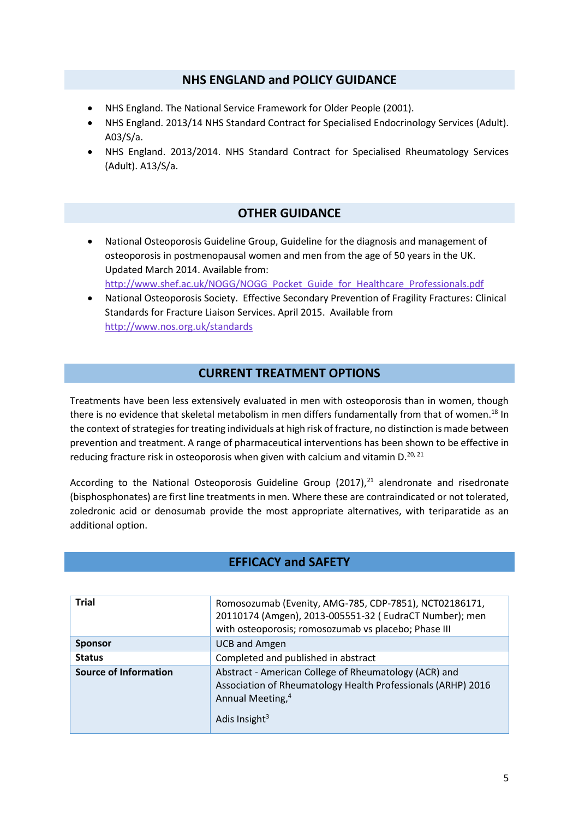#### **NHS ENGLAND and POLICY GUIDANCE**

- NHS England. The National Service Framework for Older People (2001).
- NHS England. 2013/14 NHS Standard Contract for Specialised Endocrinology Services (Adult). A03/S/a.
- NHS England. 2013/2014. NHS Standard Contract for Specialised Rheumatology Services (Adult). A13/S/a.

## **OTHER GUIDANCE**

- National Osteoporosis Guideline Group, Guideline for the diagnosis and management of osteoporosis in postmenopausal women and men from the age of 50 years in the UK. Updated March 2014. Available from: [http://www.shef.ac.uk/NOGG/NOGG\\_Pocket\\_Guide\\_for\\_Healthcare\\_Professionals.pdf](http://www.shef.ac.uk/NOGG/NOGG_Pocket_Guide_for_Healthcare_Professionals.pdf)
- National Osteoporosis Society. Effective Secondary Prevention of Fragility Fractures: Clinical Standards for Fracture Liaison Services. April 2015. Available from <http://www.nos.org.uk/standards>

## **CURRENT TREATMENT OPTIONS**

Treatments have been less extensively evaluated in men with osteoporosis than in women, though there is no evidence that skeletal metabolism in men differs fundamentally from that of women.<sup>18</sup> In the context of strategies for treating individuals at high risk of fracture, no distinction is made between prevention and treatment. A range of pharmaceutical interventions has been shown to be effective in reducing fracture risk in osteoporosis when given with calcium and vitamin D.<sup>20, 21</sup>

According to the National Osteoporosis Guideline Group  $(2017)<sup>21</sup>$  alendronate and risedronate (bisphosphonates) are first line treatments in men. Where these are contraindicated or not tolerated, zoledronic acid or denosumab provide the most appropriate alternatives, with teriparatide as an additional option.

## **EFFICACY and SAFETY**

| <b>Trial</b>                 | Romosozumab (Evenity, AMG-785, CDP-7851), NCT02186171,<br>20110174 (Amgen), 2013-005551-32 (EudraCT Number); men<br>with osteoporosis; romosozumab vs placebo; Phase III           |  |  |
|------------------------------|------------------------------------------------------------------------------------------------------------------------------------------------------------------------------------|--|--|
| <b>Sponsor</b>               | <b>UCB and Amgen</b>                                                                                                                                                               |  |  |
| <b>Status</b>                | Completed and published in abstract                                                                                                                                                |  |  |
| <b>Source of Information</b> | Abstract - American College of Rheumatology (ACR) and<br>Association of Rheumatology Health Professionals (ARHP) 2016<br>Annual Meeting, <sup>4</sup><br>Adis Insight <sup>3</sup> |  |  |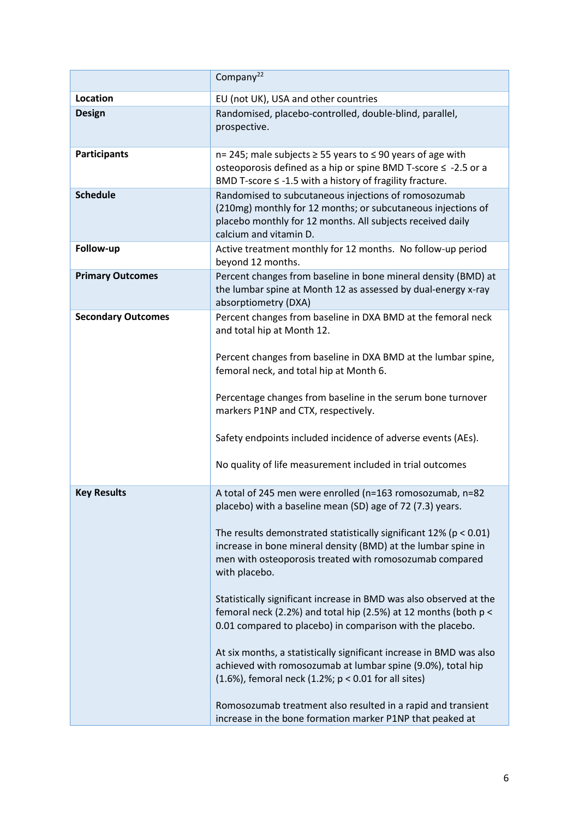|                           | Company <sup>22</sup>                                                                                                                                                                                              |  |  |
|---------------------------|--------------------------------------------------------------------------------------------------------------------------------------------------------------------------------------------------------------------|--|--|
| Location                  | EU (not UK), USA and other countries                                                                                                                                                                               |  |  |
| <b>Design</b>             | Randomised, placebo-controlled, double-blind, parallel,<br>prospective.                                                                                                                                            |  |  |
| <b>Participants</b>       | n= 245; male subjects ≥ 55 years to ≤ 90 years of age with<br>osteoporosis defined as a hip or spine BMD T-score ≤ -2.5 or a<br>BMD T-score $\leq$ -1.5 with a history of fragility fracture.                      |  |  |
| <b>Schedule</b>           | Randomised to subcutaneous injections of romosozumab<br>(210mg) monthly for 12 months; or subcutaneous injections of<br>placebo monthly for 12 months. All subjects received daily<br>calcium and vitamin D.       |  |  |
| Follow-up                 | Active treatment monthly for 12 months. No follow-up period<br>beyond 12 months.                                                                                                                                   |  |  |
| <b>Primary Outcomes</b>   | Percent changes from baseline in bone mineral density (BMD) at<br>the lumbar spine at Month 12 as assessed by dual-energy x-ray<br>absorptiometry (DXA)                                                            |  |  |
| <b>Secondary Outcomes</b> | Percent changes from baseline in DXA BMD at the femoral neck<br>and total hip at Month 12.                                                                                                                         |  |  |
|                           | Percent changes from baseline in DXA BMD at the lumbar spine,<br>femoral neck, and total hip at Month 6.                                                                                                           |  |  |
|                           | Percentage changes from baseline in the serum bone turnover<br>markers P1NP and CTX, respectively.                                                                                                                 |  |  |
|                           | Safety endpoints included incidence of adverse events (AEs).                                                                                                                                                       |  |  |
|                           | No quality of life measurement included in trial outcomes                                                                                                                                                          |  |  |
| <b>Key Results</b>        | A total of 245 men were enrolled (n=163 romosozumab, n=82<br>placebo) with a baseline mean (SD) age of 72 (7.3) years.                                                                                             |  |  |
|                           | The results demonstrated statistically significant 12% ( $p < 0.01$ )<br>increase in bone mineral density (BMD) at the lumbar spine in<br>men with osteoporosis treated with romosozumab compared<br>with placebo. |  |  |
|                           | Statistically significant increase in BMD was also observed at the<br>femoral neck (2.2%) and total hip (2.5%) at 12 months (both p <<br>0.01 compared to placebo) in comparison with the placebo.                 |  |  |
|                           | At six months, a statistically significant increase in BMD was also<br>achieved with romosozumab at lumbar spine (9.0%), total hip<br>$(1.6%)$ , femoral neck $(1.2%)$ ; $p < 0.01$ for all sites)                 |  |  |
|                           | Romosozumab treatment also resulted in a rapid and transient<br>increase in the bone formation marker P1NP that peaked at                                                                                          |  |  |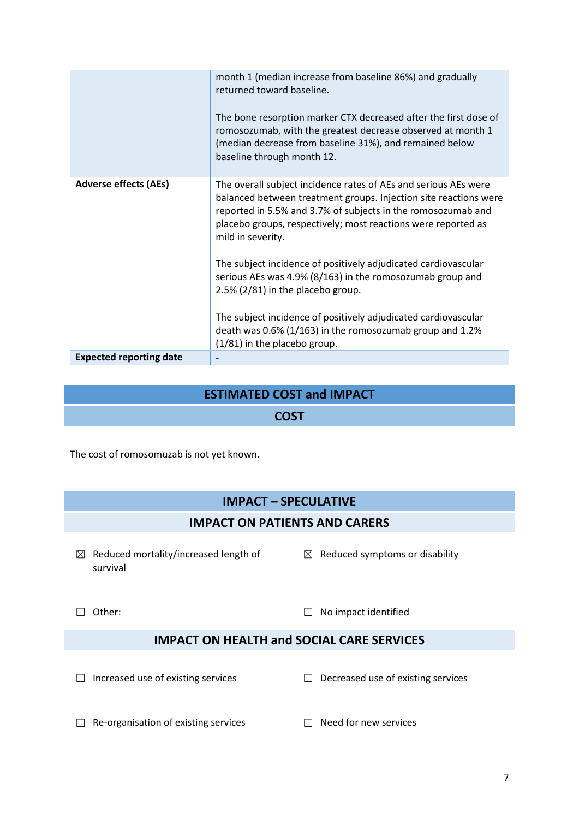|                                | month 1 (median increase from baseline 86%) and gradually<br>returned toward baseline.<br>The bone resorption marker CTX decreased after the first dose of<br>romosozumab, with the greatest decrease observed at month 1<br>(median decrease from baseline 31%), and remained below<br>baseline through month 12. |  |  |
|--------------------------------|--------------------------------------------------------------------------------------------------------------------------------------------------------------------------------------------------------------------------------------------------------------------------------------------------------------------|--|--|
| <b>Adverse effects (AEs)</b>   | The overall subject incidence rates of AEs and serious AEs were<br>balanced between treatment groups. Injection site reactions were<br>reported in 5.5% and 3.7% of subjects in the romosozumab and<br>placebo groups, respectively; most reactions were reported as<br>mild in severity.                          |  |  |
|                                | The subject incidence of positively adjudicated cardiovascular<br>serious AEs was 4.9% (8/163) in the romosozumab group and<br>2.5% (2/81) in the placebo group.                                                                                                                                                   |  |  |
|                                | The subject incidence of positively adjudicated cardiovascular<br>death was 0.6% (1/163) in the romosozumab group and 1.2%<br>(1/81) in the placebo group.                                                                                                                                                         |  |  |
| <b>Expected reporting date</b> |                                                                                                                                                                                                                                                                                                                    |  |  |

## **ESTIMATED COST and IMPACT**

#### **COST**

The cost of romosomuzab is not yet known.

# **IMPACT – SPECULATIVE**

## **IMPACT ON PATIENTS AND CARERS**

- $\boxtimes$  Reduced mortality/increased length of survival
- $\boxtimes$  Reduced symptoms or disability

☐ Other: ☐ No impact identified

## **IMPACT ON HEALTH and SOCIAL CARE SERVICES**

☐ Increased use of existing services ☐ Decreased use of existing services

- ☐ Re-organisation of existing services ☐ Need for new services
	-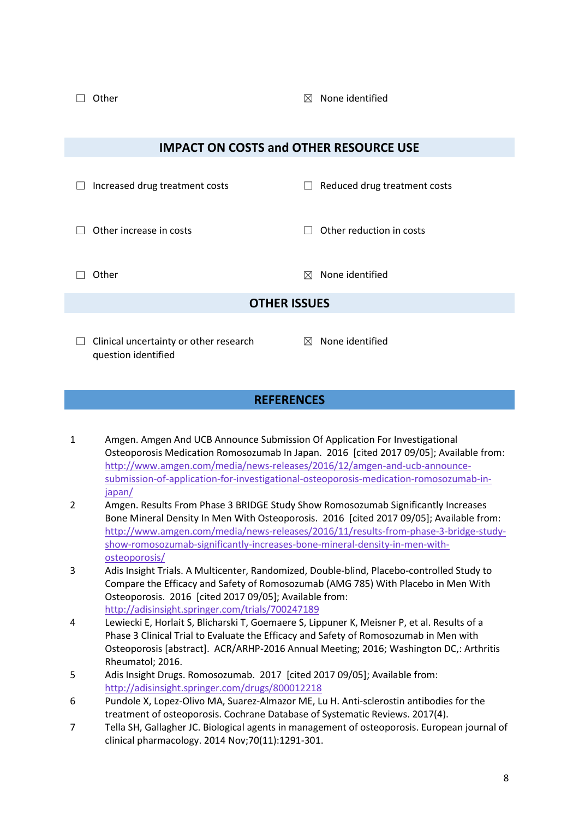□ Other **□** Other **□** Other **□** Other **□** Other **□** Other **□** Other **□** Other **□** Other **□** 

| <b>IMPACT ON COSTS and OTHER RESOURCE USE</b> |                                                               |         |                              |  |  |
|-----------------------------------------------|---------------------------------------------------------------|---------|------------------------------|--|--|
|                                               | Increased drug treatment costs                                | $\perp$ | Reduced drug treatment costs |  |  |
|                                               | Other increase in costs                                       |         | Other reduction in costs     |  |  |
|                                               | Other                                                         | ⊠       | None identified              |  |  |
| <b>OTHER ISSUES</b>                           |                                                               |         |                              |  |  |
| $\Box$                                        | Clinical uncertainty or other research<br>question identified |         | $\boxtimes$ None identified  |  |  |
| <b>REFERENCES</b>                             |                                                               |         |                              |  |  |

- 1 Amgen. Amgen And UCB Announce Submission Of Application For Investigational Osteoporosis Medication Romosozumab In Japan. 2016 [cited 2017 09/05]; Available from: [http://www.amgen.com/media/news-releases/2016/12/amgen-and-ucb-announce](http://www.amgen.com/media/news-releases/2016/12/amgen-and-ucb-announce-submission-of-application-for-investigational-osteoporosis-medication-romosozumab-in-japan/)[submission-of-application-for-investigational-osteoporosis-medication-romosozumab-in](http://www.amgen.com/media/news-releases/2016/12/amgen-and-ucb-announce-submission-of-application-for-investigational-osteoporosis-medication-romosozumab-in-japan/)[japan/](http://www.amgen.com/media/news-releases/2016/12/amgen-and-ucb-announce-submission-of-application-for-investigational-osteoporosis-medication-romosozumab-in-japan/)
- 2 Amgen. Results From Phase 3 BRIDGE Study Show Romosozumab Significantly Increases Bone Mineral Density In Men With Osteoporosis. 2016 [cited 2017 09/05]; Available from: [http://www.amgen.com/media/news-releases/2016/11/results-from-phase-3-bridge-study](http://www.amgen.com/media/news-releases/2016/11/results-from-phase-3-bridge-study-show-romosozumab-significantly-increases-bone-mineral-density-in-men-with-osteoporosis/)[show-romosozumab-significantly-increases-bone-mineral-density-in-men-with](http://www.amgen.com/media/news-releases/2016/11/results-from-phase-3-bridge-study-show-romosozumab-significantly-increases-bone-mineral-density-in-men-with-osteoporosis/)[osteoporosis/](http://www.amgen.com/media/news-releases/2016/11/results-from-phase-3-bridge-study-show-romosozumab-significantly-increases-bone-mineral-density-in-men-with-osteoporosis/)
- 3 Adis Insight Trials. A Multicenter, Randomized, Double-blind, Placebo-controlled Study to Compare the Efficacy and Safety of Romosozumab (AMG 785) With Placebo in Men With Osteoporosis. 2016 [cited 2017 09/05]; Available from: <http://adisinsight.springer.com/trials/700247189>
- 4 Lewiecki E, Horlait S, Blicharski T, Goemaere S, Lippuner K, Meisner P, et al. Results of a Phase 3 Clinical Trial to Evaluate the Efficacy and Safety of Romosozumab in Men with Osteoporosis [abstract]. ACR/ARHP-2016 Annual Meeting; 2016; Washington DC,: Arthritis Rheumatol; 2016.
- 5 Adis Insight Drugs. Romosozumab. 2017 [cited 2017 09/05]; Available from: <http://adisinsight.springer.com/drugs/800012218>
- 6 Pundole X, Lopez-Olivo MA, Suarez-Almazor ME, Lu H. Anti-sclerostin antibodies for the treatment of osteoporosis. Cochrane Database of Systematic Reviews. 2017(4).
- 7 Tella SH, Gallagher JC. Biological agents in management of osteoporosis. European journal of clinical pharmacology. 2014 Nov;70(11):1291-301.